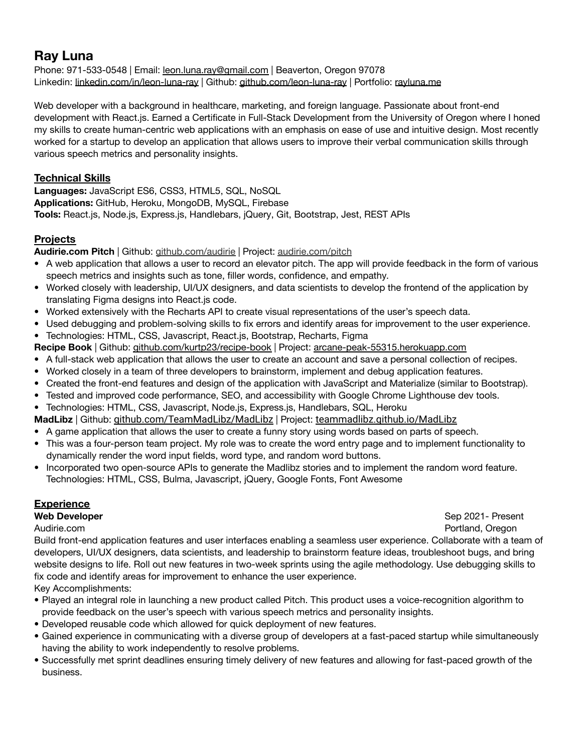# **Ray Luna**

Phone: 971-533-0548 | Email: [leon.luna.ray@gmail.com](mailto:leon.luna.ray@gmail.com) | Beaverton, Oregon 97078 Linkedin: <u>[linkedin.com/in/leon-luna-ray](http://linkedin.com/in/leon-luna-ray)</u> | Github: [github.com/leon-luna-ray](http://github.com/leon-luna-ray) | Portfolio: [rayluna.me](http://rayluna.me)

Web developer with a background in healthcare, marketing, and foreign language. Passionate about front-end development with React.js. Earned a Certificate in Full-Stack Development from the University of Oregon where I honed my skills to create human-centric web applications with an emphasis on ease of use and intuitive design. Most recently worked for a startup to develop an application that allows users to improve their verbal communication skills through various speech metrics and personality insights.

### **Technical Skills**

**Languages:** JavaScript ES6, CSS3, HTML5, SQL, NoSQL **Applications:** GitHub, Heroku, MongoDB, MySQL, Firebase **Tools:** React.js, Node.js, Express.js, Handlebars, jQuery, Git, Bootstrap, Jest, REST APIs

### **Projects**

**Audirie.com Pitch** | Github: [github.com/audirie](http://github.com/audirie) | Project: [audirie.com/pitch](https://www.audirie.com/pitch)

- A web application that allows a user to record an elevator pitch. The app will provide feedback in the form of various speech metrics and insights such as tone, filler words, confidence, and empathy.
- Worked closely with leadership, UI/UX designers, and data scientists to develop the frontend of the application by translating Figma designs into React.js code.
- Worked extensively with the Recharts API to create visual representations of the user's speech data.
- Used debugging and problem-solving skills to fix errors and identify areas for improvement to the user experience.
- Technologies: HTML, CSS, Javascript, React.js, Bootstrap, Recharts, Figma
- **Recipe Book** | Github: [github.com/kurtp23/recipe-book](http://github.com/kurtp23/recipe-book) | Project: [arcane-peak-55315.herokuapp.com](http://arcane-peak-55315.herokuapp.com)
- A full-stack web application that allows the user to create an account and save a personal collection of recipes.
- Worked closely in a team of three developers to brainstorm, implement and debug application features.
- Created the front-end features and design of the application with JavaScript and Materialize (similar to Bootstrap).
- Tested and improved code performance, SEO, and accessibility with Google Chrome Lighthouse dev tools.
- Technologies: HTML, CSS, Javascript, Node.js, Express.js, Handlebars, SQL, Heroku
- **MadLibz** | Github: [github.com/TeamMadLibz/MadLibz](https://github.com/TeamMadLibz/MadLibz) | Project: [teammadlibz.github.io/MadLibz](https://teammadlibz.github.io/MadLibz/)
- A game application that allows the user to create a funny story using words based on parts of speech.
- This was a four-person team project. My role was to create the word entry page and to implement functionality to dynamically render the word input fields, word type, and random word buttons.
- Incorporated two open-source APIs to generate the Madlibz stories and to implement the random word feature. Technologies: HTML, CSS, Bulma, Javascript, jQuery, Google Fonts, Font Awesome

### **Experience**

**The Developer** Sep 2021- Present Audirie.com Portland, Oregon

Build front-end application features and user interfaces enabling a seamless user experience. Collaborate with a team of developers, UI/UX designers, data scientists, and leadership to brainstorm feature ideas, troubleshoot bugs, and bring website designs to life. Roll out new features in two-week sprints using the agile methodology. Use debugging skills to fix code and identify areas for improvement to enhance the user experience.

Key Accomplishments:

- Played an integral role in launching a new product called Pitch. This product uses a voice-recognition algorithm to provide feedback on the user's speech with various speech metrics and personality insights.
- Developed reusable code which allowed for quick deployment of new features.
- Gained experience in communicating with a diverse group of developers at a fast-paced startup while simultaneously having the ability to work independently to resolve problems.
- Successfully met sprint deadlines ensuring timely delivery of new features and allowing for fast-paced growth of the business.